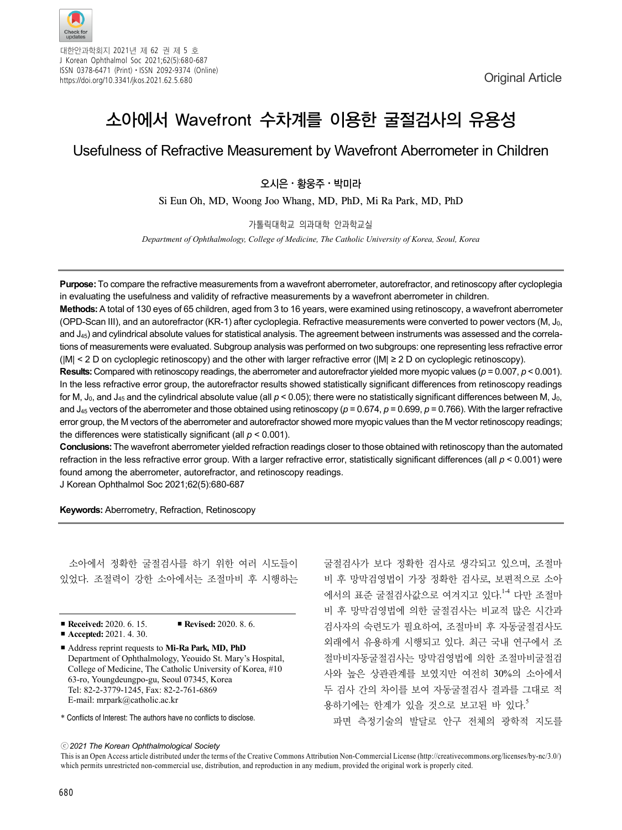

대한안과학회지 2021년 제 62 권 제 5 호 J Korean Ophthalmol Soc 2021;62(5):680-687 ISSN 0378-6471 (Print)⋅ISSN 2092-9374 (Online) https://doi.org/10.3341/jkos.2021.62.5.680

# 소아에서 Wavefront 수차계를 이용한 굴절검사의 유용성

## Usefulness of Refractive Measurement by Wavefront Aberrometer in Children

 $2$ 시은 · 황웅주 · 박미라

Si Eun Oh, MD, Woong Joo Whang, MD, PhD, Mi Ra Park, MD, PhD

가톨릭대학교 의과대학 안과학교실

*Department of Ophthalmology, College of Medicine, The Catholic University of Korea, Seoul, Korea*

**Purpose:** To compare the refractive measurements from a wavefront aberrometer, autorefractor, and retinoscopy after cycloplegia in evaluating the usefulness and validity of refractive measurements by a wavefront aberrometer in children.

**Methods:** A total of 130 eyes of 65 children, aged from 3 to 16 years, were examined using retinoscopy, a wavefront aberrometer (OPD-Scan III), and an autorefractor (KR-1) after cycloplegia. Refractive measurements were converted to power vectors (M, J0, and J<sub>45</sub>) and cylindrical absolute values for statistical analysis. The agreement between instruments was assessed and the correlations of measurements were evaluated. Subgroup analysis was performed on two subgroups: one representing less refractive error (|M| < 2 D on cycloplegic retinoscopy) and the other with larger refractive error (|M| ≥ 2 D on cycloplegic retinoscopy).

**Results:** Compared with retinoscopy readings, the aberrometer and autorefractor yielded more myopic values (*p* = 0.007, *p* < 0.001). In the less refractive error group, the autorefractor results showed statistically significant differences from retinoscopy readings for M, J<sub>0</sub>, and J<sub>45</sub> and the cylindrical absolute value (all  $p < 0.05$ ); there were no statistically significant differences between M, J<sub>0</sub> and J45 vectors of the aberrometer and those obtained using retinoscopy (*p* = 0.674, *p* = 0.699, *p* = 0.766). With the larger refractive error group, the M vectors of the aberrometer and autorefractor showed more myopic values than the M vector retinoscopy readings; the differences were statistically significant (all *p* < 0.001).

**Conclusions:** The wavefront aberrometer yielded refraction readings closer to those obtained with retinoscopy than the automated refraction in the less refractive error group. With a larger refractive error, statistically significant differences (all *p* < 0.001) were found among the aberrometer, autorefractor, and retinoscopy readings.

J Korean Ophthalmol Soc 2021;62(5):680-687

**Keywords:** Aberrometry, Refraction, Retinoscopy

소아에서 정확한 굴절검사를 하기 위한 여러 시도들이 있었다. 조절력이 강한 소아에서는 조절마비 후 시행하는

- **Received:** 2020. 6. 15. **Revised:** 2020. 8. 6.
- **Accepted:** 2021, 4, 30.
- Address reprint requests to Mi-Ra Park, MD, PhD Department of Ophthalmology, Yeouido St. Mary's Hospital, College of Medicine, The Catholic University of Korea, #10 63-ro, Youngdeungpo-gu, Seoul 07345, Korea Tel: 82-2-3779-1245, Fax: 82-2-761-6869 E-mail: mrpark@catholic.ac.kr
- \* Conflicts of Interest: The authors have no conflicts to disclose.

굴절검사가 보다 정확한 검사로 생각되고 있으며, 조절마 비 후 망막검영법이 가장 정확한 검사로, 보편적으로 소아 에서의 표준 굴절검사값으로 여겨지고 있다.<sup>14</sup> 다만 조절마 비 후 망막검영법에 의한 굴절검사는 비교적 많은 시간과 검사자의 숙련도가 필요하여, 조절마비 후 자동굴절검사도 외래에서 유용하게 시행되고 있다. 최근 국내 연구에서 조 절마비자동굴절검사는 망막검영법에 의한 조절마비굴절검 사와 높은 상관관계를 보였지만 여전히 30%의 소아에서 두 검사 간의 차이를 보여 자동굴절검사 결과를 그대로 적 용하기에는 한계가 있을 것으로 보고된 바 있다. 5 파면 측정기술의 발달로 안구 전체의 광학적 지도를

ⓒ*2021 The Korean Ophthalmological Society*

This is an Open Access article distributed under the terms of the Creative Commons Attribution Non-Commercial License (http://creativecommons.org/licenses/by-nc/3.0/) which permits unrestricted non-commercial use, distribution, and reproduction in any medium, provided the original work is properly cited.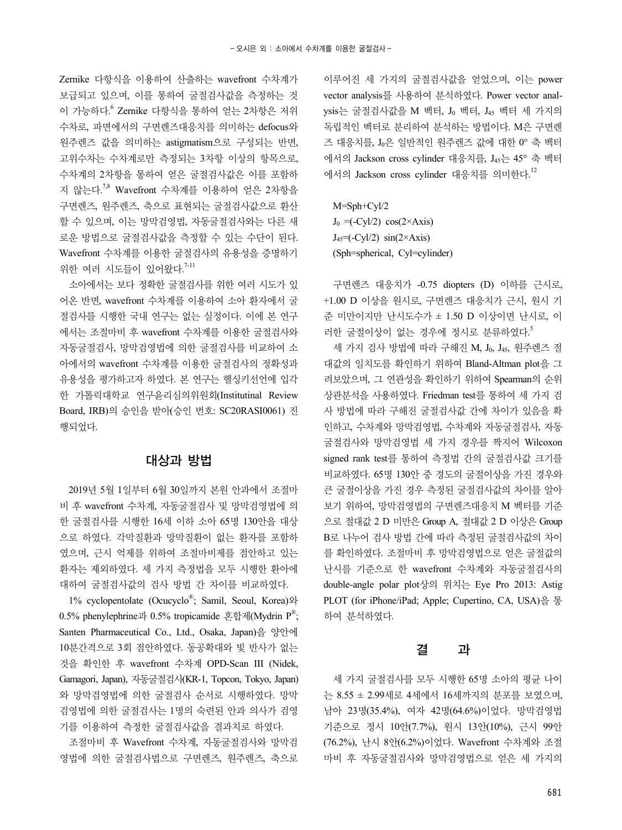Zernike 다항식을 이용하여 산출하는 wavefront 수차계가 보급되고 있으며, 이를 통하여 굴절검사값을 측정하는 것 이 가능하다. <sup>6</sup> Zernike 다항식을 통하여 얻는 2차항은 저위 수차로, 파면에서의 구면렌즈대응치를 의미하는 defocus와 원주렌즈 값을 의미하는 astigmatism으로 구성되는 반면, 고위수차는 수차계로만 측정되는 3차항 이상의 항목으로, 수차계의 2차항을 통하여 얻은 굴절검사값은 이를 포함하 지 않는다. 7,8 Wavefront 수차계를 이용하여 얻은 2차항을 구면렌즈, 원주렌즈, 축으로 표현되는 굴절검사값으로 환산 할 수 있으며, 이는 망막검영법, 자동굴절검사와는 다른 새 로운 방법으로 굴절검사값을 측정할 수 있는 수단이 된다. Wavefront 수차계를 이용한 굴절검사의 유용성을 증명하기 위한 여러 시도들이 있어왔다.<sup>7-11</sup>

소아에서는 보다 정확한 굴절검사를 위한 여러 시도가 있 어온 반면, wavefront 수차계를 이용하여 소아 환자에서 굴 절검사를 시행한 국내 연구는 없는 실정이다. 이에 본 연구 에서는 조절마비 후 wavefront 수차계를 이용한 굴절검사와 자동굴절검사, 망막검영법에 의한 굴절검사를 비교하여 소 아에서의 wavefront 수차계를 이용한 굴절검사의 정확성과 유용성을 평가하고자 하였다. 본 연구는 헬싱키선언에 입각 한 가톨릭대학교 연구윤리심의위원회(Institutinal Review Board, IRB)의 승인을 받아(승인 번호: SC20RASI0061) 진 행되었다.

### 대상과 방법

2019년 5월 1일부터 6월 30일까지 본원 안과에서 조절마 비 후 wavefront 수차계, 자동굴절검사 및 망막검영법에 의 한 굴절검사를 시행한 16세 이하 소아 65명 130안을 대상 으로 하였다. 각막질환과 망막질환이 없는 환자를 포함하 였으며, 근시 억제를 위하여 조절마비제를 점안하고 있는 환자는 제외하였다. 세 가지 측정법을 모두 시행한 환아에 대하여 굴절검사값의 검사 방법 간 차이를 비교하였다.

1% cyclopentolate (Ocucyclo® ; Samil, Seoul, Korea)와 0.5% phenylephrine과 0.5% tropicamide 혼합제(Mydrin  $P^{\mathbb{B}}$ ; Santen Pharmaceutical Co., Ltd., Osaka, Japan)을 양안에 10분간격으로 3회 점안하였다. 동공확대와 빛 반사가 없는 것을 확인한 후 wavefront 수차계 OPD-Scan III (Nidek, Gamagori, Japan), 자동굴절검사(KR-1, Topcon, Tokyo, Japan) 와 망막검영법에 의한 굴절검사 순서로 시행하였다. 망막 검영법에 의한 굴절검사는 1명의 숙련된 안과 의사가 검영 기를 이용하여 측정한 굴절검사값을 결과치로 하였다.

조절마비 후 Wavefront 수차계, 자동굴절검사와 망막검 영법에 의한 굴절검사법으로 구면렌즈, 원주렌즈, 축으로 이루어진 세 가지의 굴절검사값을 얻었으며, 이는 power vector analysis를 사용하여 분석하였다. Power vector anal $ysis는 굴절검사값을 M 벡터,  $J_0$  벡터,  $J_{45}$  벡터 세 가지의$ 독립적인 벡터로 분리하여 분석하는 방법이다. M은 구면렌 즈 대응치를, J0은 일반적인 원주렌즈 값에 대한 0° 축 벡터 에서의 Jackson cross cylinder 대응치를, J45는 45° 축 벡터 에서의 Jackson cross cylinder 대응치를 의미한다. 12

M=Sph+Cyl/2  $J_0 = (-Cyl/2) \cos(2 \times Axi)$  $J_{45} = (-\text{Cyl}/2) \sin(2 \times \text{Axis})$ (Sph=spherical, Cyl=cylinder)

구면렌즈 대응치가 -0.75 diopters (D) 이하를 근시로, +1.00 D 이상을 원시로, 구면렌즈 대응치가 근시, 원시 기 준 미만이지만 난시도수가 ± 1.50 D 이상이면 난시로, 이 러한 굴절이상이 없는 경우에 정시로 분류하였다.<sup>5</sup>

세 가지 검사 방법에 따라 구해진 M, Jo, J45, 원주렌즈 절 대값의 일치도를 확인하기 위하여 Bland-Altman plot을 그 려보았으며, 그 연관성을 확인하기 위하여 Spearman의 순위 상관분석을 사용하였다. Friedman test를 통하여 세 가지 검 사 방법에 따라 구해진 굴절검사값 간에 차이가 있음을 확 인하고, 수차계와 망막검영법, 수차계와 자동굴절검사, 자동 굴절검사와 망막검영법 세 가지 경우를 짝지어 Wilcoxon signed rank test를 통하여 측정법 간의 굴절검사값 크기를 비교하였다. 65명 130안 중 경도의 굴절이상을 가진 경우와 큰 굴절이상을 가진 경우 측정된 굴절검사값의 차이를 알아 보기 위하여, 망막검영법의 구면렌즈대응치 M 벡터를 기준 으로 절대값 2 D 미만은 Group A, 절대값 2 D 이상은 Group B로 나누어 검사 방법 간에 따라 측정된 굴절검사값의 차이 를 확인하였다. 조절마비 후 망막검영법으로 얻은 굴절값의 난시를 기준으로 한 wavefront 수차계와 자동굴절검사의 double-angle polar plot상의 위치는 Eye Pro 2013: Astig PLOT (for iPhone/iPad; Apple; Cupertino, CA, USA)을 통 하여 분석하였다.

#### 결 과

세 가지 굴절검사를 모두 시행한 65명 소아의 평균 나이 는 8.55 ± 2.99세로 4세에서 16세까지의 분포를 보였으며, 남아 23명(35.4%), 여자 42명(64.6%)이었다. 망막검영법 기준으로 정시 10안(7.7%), 원시 13안(10%), 근시 99안 (76.2%), 난시 8안(6.2%)이었다. Wavefront 수차계와 조절 마비 후 자동굴절검사와 망막검영법으로 얻은 세 가지의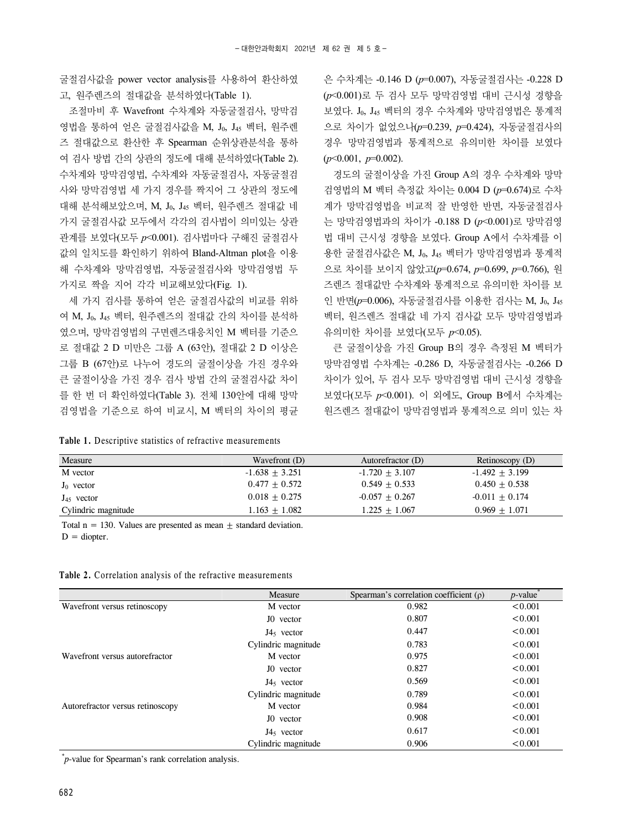굴절검사값을 power vector analysis를 사용하여 환산하였 고, 원주렌즈의 절대값을 분석하였다(Table 1).

조절마비 후 Wavefront 수차계와 자동굴절검사, 망막검 영법을 통하여 얻은 굴절검사값을 M, J<sub>0</sub>, J<sub>45</sub> 벡터, 원주렌 즈 절대값으로 환산한 후 Spearman 순위상관분석을 통하 여 검사 방법 간의 상관의 정도에 대해 분석하였다(Table 2). 수차계와 망막검영법, 수차계와 자동굴절검사, 자동굴절검 사와 망막검영법 세 가지 경우를 짝지어 그 상관의 정도에 대해 분석해보았으며, M, J0, J45 벡터, 원주렌즈 절대값 네 가지 굴절검사값 모두에서 각각의 검사법이 의미있는 상관 관계를 보였다(모두 *p*<0.001). 검사법마다 구해진 굴절검사 값의 일치도를 확인하기 위하여 Bland-Altman plot을 이용 해 수차계와 망막검영법, 자동굴절검사와 망막검영법 두 가지로 짝을 지어 각각 비교해보았다(Fig. 1).

세 가지 검사를 통하여 얻은 굴절검사값의 비교를 위하 여 M, J0, J45 벡터, 원주렌즈의 절대값 간의 차이를 분석하 였으며, 망막검영법의 구면렌즈대응치인 M 벡터를 기준으 로 절대값 2 D 미만은 그룹 A (63안), 절대값 2 D 이상은 그룹 B (67안)로 나누어 경도의 굴절이상을 가진 경우와 큰 굴절이상을 가진 경우 검사 방법 간의 굴절검사값 차이 를 한 번 더 확인하였다(Table 3). 전체 130안에 대해 망막 검영법을 기준으로 하여 비교시, M 벡터의 차이의 평균

**Table 1.** Descriptive statistics of refractive measurements

은 수차계는 -0.146 D (*p*=0.007), 자동굴절검사는 -0.228 D (*p*<0.001)로 두 검사 모두 망막검영법 대비 근시성 경향을 보였다. J0, J45 벡터의 경우 수차계와 망막검영법은 통계적 으로 차이가 없었으나(*p*=0.239, *p*=0.424), 자동굴절검사의 경우 망막검영법과 통계적으로 유의미한 차이를 보였다 (*p*<0.001, *p*=0.002).

경도의 굴절이상을 가진 Group A의 경우 수차계와 망막 검영법의 M 벡터 측정값 차이는 0.004 D (*p*=0.674)로 수차 계가 망막검영법을 비교적 잘 반영한 반면, 자동굴절검사 는 망막검영법과의 차이가 -0.188 D (*p*<0.001)로 망막검영 법 대비 근시성 경향을 보였다. Group A에서 수차계를 이 용한 굴절검사값은 M, Jo, J45 벡터가 망막검영법과 통계적 으로 차이를 보이지 않았고(*p*=0.674, *p*=0.699, *p*=0.766), 원 즈렌즈 절대값만 수차계와 통계적으로 유의미한 차이를 보 인 반면( $p$ =0.006), 자동굴절검사를 이용한 검사는 M, J<sub>0</sub>, J<sub>45</sub> 벡터, 원즈렌즈 절대값 네 가지 검사값 모두 망막검영법과 유의미한 차이를 보였다(모두 *p*<0.05).

큰 굴절이상을 가진 Group B의 경우 측정된 M 벡터가 망막검영법 수차계는 -0.286 D, 자동굴절검사는 -0.266 D 차이가 있어, 두 검사 모두 망막검영법 대비 근시성 경향을 보였다(모두 *p*<0.001). 이 외에도, Group B에서 수차계는 원즈렌즈 절대값이 망막검영법과 통계적으로 의미 있는 차

| Wavefront (D)    | Autorefractor (D) | Retinoscopy (D)  |
|------------------|-------------------|------------------|
| $-1.638 + 3.251$ | $-1.720 + 3.107$  | $-1.492 + 3.199$ |
| $0.477 + 0.572$  | $0.549 + 0.533$   | $0.450 + 0.538$  |
| $0.018 + 0.275$  | $-0.057 + 0.267$  | $-0.011 + 0.174$ |
| $1.163 + 1.082$  | $1.225 + 1.067$   | $0.969 + 1.071$  |
|                  |                   |                  |

Total  $n = 130$ . Values are presented as mean  $+$  standard deviation.  $D =$  diopter.

|  |  |  |  |  |  |  |  |  |  |  |  |  |  |  | <b>Table 2.</b> Correlation analysis of the refractive measurements |  |
|--|--|--|--|--|--|--|--|--|--|--|--|--|--|--|---------------------------------------------------------------------|--|
|  |  |  |  |  |  |  |  |  |  |  |  |  |  |  |                                                                     |  |

|                                  | Measure               | Spearman's correlation coefficient $(\rho)$ | $p$ -value |
|----------------------------------|-----------------------|---------------------------------------------|------------|
| Wavefront versus retinoscopy     | M vector              | 0.982                                       | < 0.001    |
|                                  | J0 vector             | 0.807                                       | < 0.001    |
|                                  | $J45$ vector          | 0.447                                       | < 0.001    |
|                                  | Cylindric magnitude   | 0.783                                       | < 0.001    |
| Wavefront versus autorefractor   | M vector              | 0.975                                       | < 0.001    |
|                                  | J <sub>0</sub> vector | 0.827                                       | < 0.001    |
|                                  | $J45$ vector          | 0.569                                       | < 0.001    |
|                                  | Cylindric magnitude   | 0.789                                       | < 0.001    |
| Autorefractor versus retinoscopy | M vector              | 0.984                                       | < 0.001    |
|                                  | J0 vector             | 0.908                                       | < 0.001    |
|                                  | $J45$ vector          | 0.617                                       | < 0.001    |
|                                  | Cylindric magnitude   | 0.906                                       | < 0.001    |

\* *p*-value for Spearman's rank correlation analysis.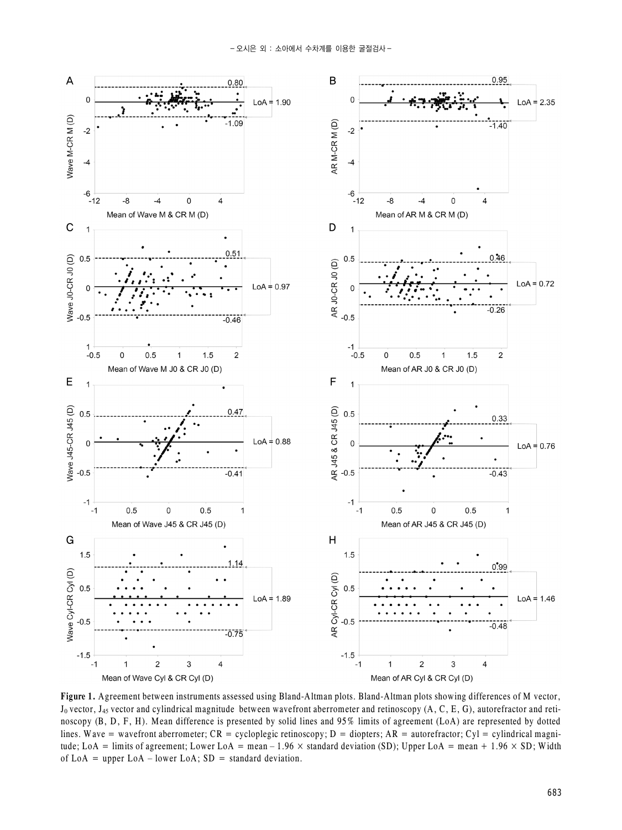

**Figure 1.** Agreement between instruments assessed using Bland-Altman plots. Bland-Altman plots showing differences of M vector,  $J_0$  vector,  $J_{45}$  vector and cylindrical magnitude between wavefront aberrometer and retinoscopy (A, C, E, G), autorefractor and retinoscopy (B, D, F, H). Mean difference is presented by solid lines and 95% limits of agreement (LoA) are represented by dotted lines. Wave = wavefront aberrometer;  $CR = cycloplegic$  retinoscopy;  $D =$  diopters;  $AR =$  autorefractor;  $Cyl =$  cylindrical magnitude; LoA = limits of agreement; Lower LoA = mean – 1.96  $\times$  standard deviation (SD); Upper LoA = mean + 1.96  $\times$  SD; Width of LoA = upper LoA – lower LoA;  $SD = standard deviation$ .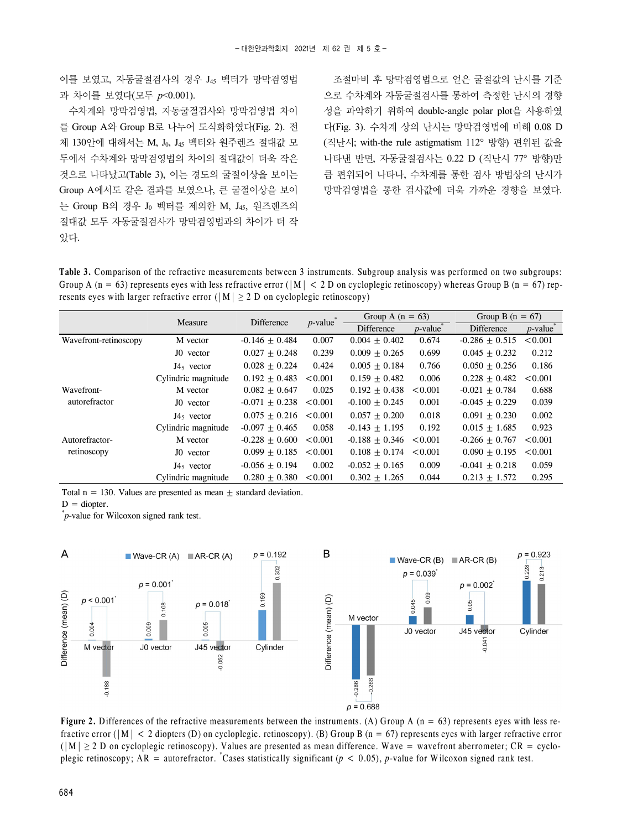이를 보였고, 자동굴절검사의 경우 J45 벡터가 망막검영법 과 차이를 보였다(모두 *p*<0.001).

수차계와 망막검영법, 자동굴절검사와 망막검영법 차이 를 Group A와 Group B로 나누어 도식화하였다(Fig. 2). 전 체 130안에 대해서는 M, Jo, J45 벡터와 워주렌즈 절대값 모 두에서 수차계와 망막검영법의 차이의 절대값이 더욱 작은 것으로 나타났고(Table 3), 이는 경도의 굴절이상을 보이는 Group A에서도 같은 결과를 보였으나, 큰 굴절이상을 보이 는 Group B의 경우 J0 벡터를 제외한 M, J45, 원즈렌즈의 절대값 모두 자동굴절검사가 망막검영법과의 차이가 더 작 았다.

조절마비 후 망막검영법으로 얻은 굴절값의 난시를 기준 으로 수차계와 자동굴절검사를 통하여 측정한 난시의 경향 성을 파악하기 위하여 double-angle polar plot을 사용하였 다(Fig. 3). 수차계 상의 난시는 망막검영법에 비해 0.08 D (직난시; with-the rule astigmatism 112° 방향) 편위된 값을 나타낸 반면, 자동굴절검사는 0.22 D (직난시 77° 방향)만 큼 편위되어 나타나, 수차계를 통한 검사 방법상의 난시가 망막검영법을 통한 검사값에 더욱 가까운 경향을 보였다.

**Table 3.** Comparison of the refractive measurements between 3 instruments. Subgroup analysis was performed on two subgroups: Group A (n = 63) represents eves with less refractive error ( $|M| < 2$  D on cycloplegic retinoscopy) whereas Group B (n = 67) represents eyes with larger refractive error ( $|M| \ge 2$  D on cycloplegic retinoscopy)

|                       | Measure             | Difference       | $p$ -value <sup>*</sup> | Group A $(n = 63)$ |                                            | Group B $(n = 67)$ |                         |  |  |
|-----------------------|---------------------|------------------|-------------------------|--------------------|--------------------------------------------|--------------------|-------------------------|--|--|
|                       |                     |                  |                         | Difference         | $p$ -value <sup><math>\bar{p}</math></sup> | Difference         | $p$ -value <sup>*</sup> |  |  |
| Wavefront-retinoscopy | M vector            | $-0.146 + 0.484$ | 0.007                   | $0.004 + 0.402$    | 0.674                                      | $-0.286 \pm 0.515$ | < 0.001                 |  |  |
|                       | J0 vector           | $0.027 + 0.248$  | 0.239                   | $0.009 + 0.265$    | 0.699                                      | $0.045 + 0.232$    | 0.212                   |  |  |
|                       | $J45$ vector        | $0.028 + 0.224$  | 0.424                   | $0.005 + 0.184$    | 0.766                                      | $0.050 + 0.256$    | 0.186                   |  |  |
|                       | Cylindric magnitude | $0.192 + 0.483$  | < 0.001                 | $0.159 + 0.482$    | 0.006                                      | $0.228 + 0.482$    | < 0.001                 |  |  |
| Wavefront-            | M vector            | $0.082 + 0.647$  | 0.025                   | $0.192 + 0.438$    | < 0.001                                    | $-0.021 + 0.784$   | 0.688                   |  |  |
| autorefractor         | J0 vector           | $-0.071 + 0.238$ | < 0.001                 | $-0.100 \pm 0.245$ | 0.001                                      | $-0.045 + 0.229$   | 0.039                   |  |  |
|                       | $J45$ vector        | $0.075 + 0.216$  | < 0.001                 | $0.057 + 0.200$    | 0.018                                      | $0.091 + 0.230$    | 0.002                   |  |  |
|                       | Cylindric magnitude | $-0.097 + 0.465$ | 0.058                   | $-0.143 + 1.195$   | 0.192                                      | $0.015 + 1.685$    | 0.923                   |  |  |
| Autorefractor-        | M vector            | $-0.228 + 0.600$ | < 0.001                 | $-0.188 + 0.346$   | < 0.001                                    | $-0.266 + 0.767$   | < 0.001                 |  |  |
| retinoscopy           | J0 vector           | $0.099 + 0.185$  | < 0.001                 | $0.108 + 0.174$    | < 0.001                                    | $0.090 + 0.195$    | < 0.001                 |  |  |
|                       | $J45$ vector        | $-0.056 + 0.194$ | 0.002                   | $-0.052 + 0.165$   | 0.009                                      | $-0.041 + 0.218$   | 0.059                   |  |  |
|                       | Cylindric magnitude | $0.280 + 0.380$  | < 0.001                 | $0.302 + 1.265$    | 0.044                                      | $0.213 + 1.572$    | 0.295                   |  |  |

Total  $n = 130$ . Values are presented as mean  $+$  standard deviation.

 $D =$  diopter.

\* *p*-value for Wilcoxon signed rank test.



**Figure 2.** Differences of the refractive measurements between the instruments. (A) Group A  $(n = 63)$  represents eyes with less refractive error ( $|M| < 2$  diopters (D) on cycloplegic. retinoscopy). (B) Group B (n = 67) represents eyes with larger refractive error  $(|M| \ge 2$  D on cycloplegic retinoscopy). Values are presented as mean difference. Wave = wavefront aberrometer;  $CR = cyclo$ plegic retinoscopy;  $AR =$  autorefractor. <sup>\*</sup>Cases statistically significant ( $p < 0.05$ ), *p*-value for Wilcoxon signed rank test.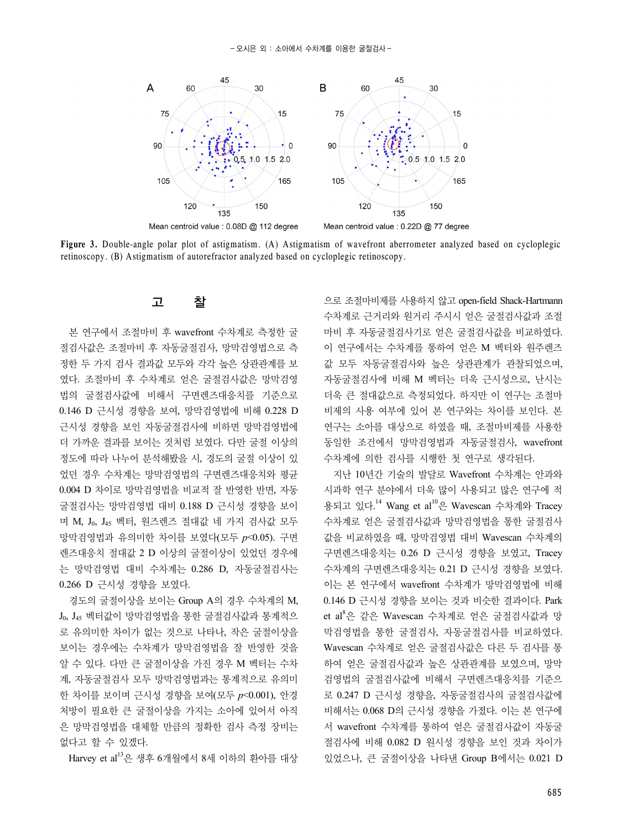

**Figure 3.** Double-angle polar plot of astigmatism. (A) Astigmatism of wavefront aberrometer analyzed based on cycloplegic retinoscopy. (B) Astigmatism of autorefractor analyzed based on cycloplegic retinoscopy.

### 고 찰

본 연구에서 조절마비 후 wavefront 수차계로 측정한 굴 절검사값은 조절마비 후 자동굴절검사, 망막검영법으로 측 정한 두 가지 검사 결과값 모두와 각각 높은 상관관계를 보 였다. 조절마비 후 수차계로 얻은 굴절검사값은 망막검영 법의 굴절검사값에 비해서 구면렌즈대응치를 기준으로 0.146 D 근시성 경향을 보여, 망막검영법에 비해 0.228 D 근시성 경향을 보인 자동굴절검사에 비하면 망막검영법에 더 가까운 결과를 보이는 것처럼 보였다. 다만 굴절 이상의 정도에 따라 나누어 분석해봤을 시, 경도의 굴절 이상이 있 었던 경우 수차계는 망막검영법의 구면렌즈대응치와 평균 0.004 D 차이로 망막검영법을 비교적 잘 반영한 반면, 자동 굴절검사는 망막검영법 대비 0.188 D 근시성 경향을 보이 며 M, J0, J45 벡터, 원즈렌즈 절대값 네 가지 검사값 모두 망막검영법과 유의미한 차이를 보였다(모두 *p*<0.05). 구면 렌즈대응치 절대값 2 D 이상의 굴절이상이 있었던 경우에 는 망막검영법 대비 수차계는 0.286 D, 자동굴절검사는 0.266 D 근시성 경향을 보였다.

경도의 굴절이상을 보이는 Group A의 경우 수차계의 M, J0, J45 벡터값이 망막검영법을 통한 굴절검사값과 통계적으 로 유의미한 차이가 없는 것으로 나타나, 작은 굴절이상을 보이는 경우에는 수차계가 망막검영법을 잘 반영한 것을 알 수 있다. 다만 큰 굴절이상을 가진 경우 M 벡터는 수차 계, 자동굴절검사 모두 망막검영법과는 통계적으로 유의미 한 차이를 보이며 근시성 경향을 보여(모두 *p*<0.001), 안경 처방이 필요한 큰 굴절이상을 가지는 소아에 있어서 아직 은 망막검영법을 대체할 만큼의 정확한 검사 측정 장비는 없다고 할 수 있겠다.

Harvey et al13은 생후 6개월에서 8세 이하의 환아를 대상

으로 조절마비제를 사용하지 않고 open-field Shack-Hartmann 수차계로 근거리와 원거리 주시시 얻은 굴절검사값과 조절 마비 후 자동굴절검사기로 얻은 굴절검사값을 비교하였다. 이 연구에서는 수차계를 통하여 얻은 M 벡터와 원주렌즈 값 모두 자동굴절검사와 높은 상관관계가 관찰되었으며, 자동굴절검사에 비해 M 벡터는 더욱 근시성으로, 난시는 더욱 큰 절대값으로 측정되었다. 하지만 이 연구는 조절마 비제의 사용 여부에 있어 본 연구와는 차이를 보인다. 본 연구는 소아를 대상으로 하였을 때, 조절마비제를 사용한 동일한 조건에서 망막검영법과 자동굴절검사, wavefront 수차계에 의한 검사를 시행한 첫 연구로 생각된다.

지난 10년간 기술의 발달로 Wavefront 수차계는 안과와 시과학 연구 분야에서 더욱 많이 사용되고 많은 연구에 적 용되고 있다.<sup>14</sup> Wang et al<sup>10</sup>은 Wavescan 수차계와 Tracey 수차계로 얻은 굴절검사값과 망막검영법을 통한 굴절검사 값을 비교하였을 때, 망막검영법 대비 Wavescan 수차계의 구면렌즈대응치는 0.26 D 근시성 경향을 보였고, Tracey 수차계의 구면렌즈대응치는 0.21 D 근시성 경향을 보였다. 이는 본 연구에서 wavefront 수차계가 망막검영법에 비해 0.146 D 근시성 경향을 보이는 것과 비슷한 결과이다. Park et al<sup>8</sup>은 같은 Wavescan 수차계로 얻은 굴절검사값과 망 막검영법을 통한 굴절검사, 자동굴절검사를 비교하였다. Wavescan 수차계로 얻은 굴절검사값은 다른 두 검사를 통 하여 얻은 굴절검사값과 높은 상관관계를 보였으며, 망막 검영법의 굴절검사값에 비해서 구면렌즈대응치를 기준으 로 0.247 D 근시성 경향을, 자동굴절검사의 굴절검사값에 비해서는 0.068 D의 근시성 경향을 가졌다. 이는 본 연구에 서 wavefront 수차계를 통하여 얻은 굴절검사값이 자동굴 절검사에 비해 0.082 D 원시성 경향을 보인 것과 차이가 있었으나, 큰 굴절이상을 나타낸 Group B에서는 0.021 D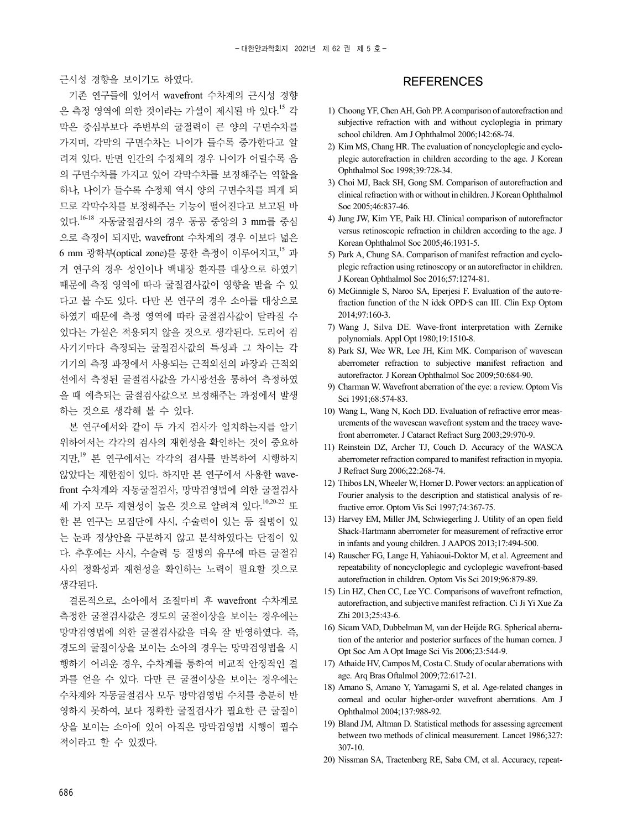근시성 경향을 보이기도 하였다.

기존 연구들에 있어서 wavefront 수차계의 근시성 경향 은 측정 영역에 의한 것이라는 가설이 제시된 바 있다.<sup>15</sup> 각 막은 중심부보다 주변부의 굴절력이 큰 양의 구면수차를 가지며, 각막의 구면수차는 나이가 들수록 증가한다고 알 려져 있다. 반면 인간의 수정체의 경우 나이가 어릴수록 음 의 구면수차를 가지고 있어 각막수차를 보정해주는 역할을 하나, 나이가 들수록 수정체 역시 양의 구면수차를 띄게 되 므로 각막수차를 보정해주는 기능이 떨어진다고 보고된 바 있다. 16-18 자동굴절검사의 경우 동공 중앙의 3 mm를 중심 으로 측정이 되지만, wavefront 수차계의 경우 이보다 넓은 6 mm 광학부(optical zone)를 통한 측정이 이루어지고, <sup>15</sup> 과 거 연구의 경우 성인이나 백내장 환자를 대상으로 하였기 때문에 측정 영역에 따라 굴절검사값이 영향을 받을 수 있 다고 볼 수도 있다. 다만 본 연구의 경우 소아를 대상으로 하였기 때문에 측정 영역에 따라 굴절검사값이 달라질 수 있다는 가설은 적용되지 않을 것으로 생각된다. 도리어 검 사기기마다 측정되는 굴절검사값의 특성과 그 차이는 각 기기의 측정 과정에서 사용되는 근적외선의 파장과 근적외 선에서 측정된 굴절검사값을 가시광선을 통하여 측정하였 을 때 예측되는 굴절검사값으로 보정해주는 과정에서 발생 하는 것으로 생각해 볼 수 있다.

본 연구에서와 같이 두 가지 검사가 일치하는지를 알기 위하여서는 각각의 검사의 재현성을 확인하는 것이 중요하 지만, <sup>19</sup> 본 연구에서는 각각의 검사를 반복하여 시행하지 않았다는 제한점이 있다. 하지만 본 연구에서 사용한 wavefront 수차계와 자동굴절검사, 망막검영법에 의한 굴절검사 세 가지 모두 재현성이 높은 것으로 알려져 있다.<sup>10,20-22</sup> 또 한 본 연구는 모집단에 사시, 수술력이 있는 등 질병이 있 는 눈과 정상안을 구분하지 않고 분석하였다는 단점이 있 다. 추후에는 사시, 수술력 등 질병의 유무에 따른 굴절검 사의 정확성과 재현성을 확인하는 노력이 필요할 것으로 생각된다.

결론적으로, 소아에서 조절마비 후 wavefront 수차계로 측정한 굴절검사값은 경도의 굴절이상을 보이는 경우에는 망막검영법에 의한 굴절검사값을 더욱 잘 반영하였다. 즉, 경도의 굴절이상을 보이는 소아의 경우는 망막검영법을 시 행하기 어려운 경우, 수차계를 통하여 비교적 안정적인 결 과를 얻을 수 있다. 다만 큰 굴절이상을 보이는 경우에는 수차계와 자동굴절검사 모두 망막검영법 수치를 충분히 반 영하지 못하여, 보다 정확한 굴절검사가 필요한 큰 굴절이 상을 보이는 소아에 있어 아직은 망막검영법 시행이 필수 적이라고 할 수 있겠다.

#### **REFERENCES**

- 1) Choong YF, Chen AH, Goh PP. A comparison of autorefraction and subjective refraction with and without cycloplegia in primary school children. Am J Ophthalmol 2006;142:68-74.
- 2) Kim MS, Chang HR. The evaluation of noncycloplegic and cycloplegic autorefraction in children according to the age. J Korean Ophthalmol Soc 1998;39:728-34.
- 3) Choi MJ, Baek SH, Gong SM. Comparison of autorefraction and clinical refraction with or without in children. J Korean Ophthalmol Soc 2005;46:837-46.
- 4) Jung JW, Kim YE, Paik HJ. Clinical comparison of autorefractor versus retinoscopic refraction in children according to the age. J Korean Ophthalmol Soc 2005;46:1931-5.
- 5) Park A, Chung SA. Comparison of manifest refraction and cycloplegic refraction using retinoscopy or an autorefractor in children. J Korean Ophthalmol Soc 2016;57:1274-81.
- 6) McGinnigle S, Naroo SA, Eperjesi F. Evaluation of the auto-refraction function of the N idek OPD‐S can III. Clin Exp Optom 2014;97:160-3.
- 7) Wang J, Silva DE. Wave-front interpretation with Zernike polynomials. Appl Opt 1980;19:1510-8.
- 8) Park SJ, Wee WR, Lee JH, Kim MK. Comparison of wavescan aberrometer refraction to subjective manifest refraction and autorefractor. J Korean Ophthalmol Soc 2009;50:684-90.
- 9) Charman W. Wavefront aberration of the eye: a review. Optom Vis Sci 1991;68:574-83.
- 10) Wang L, Wang N, Koch DD. Evaluation of refractive error measurements of the wavescan wavefront system and the tracey wavefront aberrometer. J Cataract Refract Surg 2003;29:970-9.
- 11) Reinstein DZ, Archer TJ, Couch D. Accuracy of the WASCA aberrometer refraction compared to manifest refraction in myopia. J Refract Surg 2006;22:268-74.
- 12) Thibos LN, Wheeler W, Horner D. Power vectors: an application of Fourier analysis to the description and statistical analysis of refractive error. Optom Vis Sci 1997;74:367-75.
- 13) Harvey EM, Miller JM, Schwiegerling J. Utility of an open field Shack-Hartmann aberrometer for measurement of refractive error in infants and young children. J AAPOS 2013;17:494-500.
- 14) Rauscher FG, Lange H, Yahiaoui-Doktor M, et al. Agreement and repeatability of noncycloplegic and cycloplegic wavefront-based autorefraction in children. Optom Vis Sci 2019;96:879-89.
- 15) Lin HZ, Chen CC, Lee YC. Comparisons of wavefront refraction, autorefraction, and subjective manifest refraction. Ci Ji Yi Xue Za Zhi 2013;25:43-6.
- 16) Sicam VAD, Dubbelman M, van der Heijde RG. Spherical aberration of the anterior and posterior surfaces of the human cornea. J Opt Soc Am A Opt Image Sci Vis 2006;23:544-9.
- 17) Athaide HV, Campos M, Costa C. Study of ocular aberrations with age. Arq Bras Oftalmol 2009;72:617-21.
- 18) Amano S, Amano Y, Yamagami S, et al. Age-related changes in corneal and ocular higher-order wavefront aberrations. Am J Ophthalmol 2004;137:988-92.
- 19) Bland JM, Altman D. Statistical methods for assessing agreement between two methods of clinical measurement. Lancet 1986;327: 307-10.
- 20) Nissman SA, Tractenberg RE, Saba CM, et al. Accuracy, repeat-